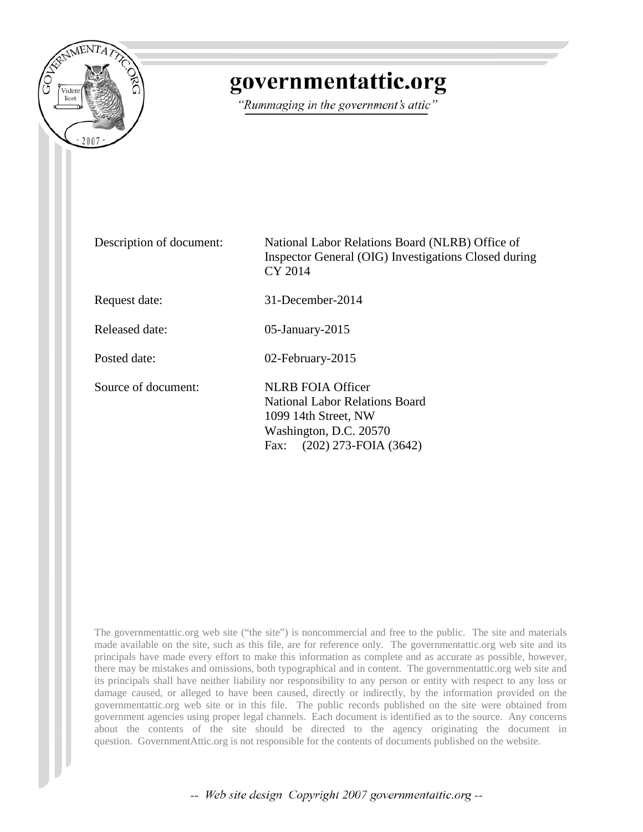

## governmentattic.org

"Rummaging in the government's attic"

| Description of document: | National Labor Relations Board (NLRB) Office of<br>Inspector General (OIG) Investigations Closed during<br>CY 2014                                       |
|--------------------------|----------------------------------------------------------------------------------------------------------------------------------------------------------|
| Request date:            | $31$ -December-2014                                                                                                                                      |
| Released date:           | $05$ -January-2015                                                                                                                                       |
| Posted date:             | 02-February-2015                                                                                                                                         |
| Source of document:      | <b>NLRB FOIA Officer</b><br><b>National Labor Relations Board</b><br>1099 14th Street, NW<br>Washington, D.C. 20570<br>$(202)$ 273-FOIA $(3642)$<br>Fax: |

The governmentattic.org web site ("the site") is noncommercial and free to the public. The site and materials made available on the site, such as this file, are for reference only. The governmentattic.org web site and its principals have made every effort to make this information as complete and as accurate as possible, however, there may be mistakes and omissions, both typographical and in content. The governmentattic.org web site and its principals shall have neither liability nor responsibility to any person or entity with respect to any loss or damage caused, or alleged to have been caused, directly or indirectly, by the information provided on the governmentattic.org web site or in this file. The public records published on the site were obtained from government agencies using proper legal channels. Each document is identified as to the source. Any concerns about the contents of the site should be directed to the agency originating the document in question. GovernmentAttic.org is not responsible for the contents of documents published on the website.

-- Web site design Copyright 2007 governmentattic.org --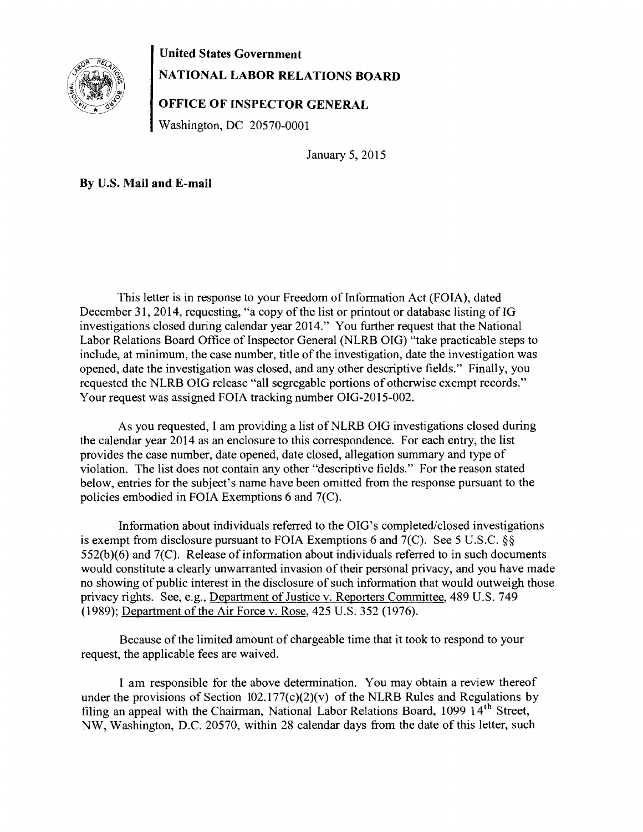

## **United States Government NATIONAL LABOR RELATIONS BOARD**

## **OFFICE OF INSPECTOR GENERAL**

Washington, DC 20570-0001

January 5, 2015

**By** U.S. **Mail and E-mail** 

This letter is in response to your Freedom of Information Act (FOIA), dated December 31, 2014, requesting, "a copy of the list or printout or database listing of IG investigations closed during calendar year 2014." You further request that the National Labor Relations Board Office of Inspector General (NLRB OIG) "take practicable steps to include, at minimum, the case number, title of the investigation, date the investigation was opened, date the investigation was closed, and any other descriptive fields." Finally, you requested the NLRB OIG release "all segregable portions of otherwise exempt records." Your request was assigned FOIA tracking number OIG-2015-002.

As you requested, I am providing a list of NLRB OIG investigations closed during the calendar year 2014 as an enclosure to this correspondence. For each entry, the list provides the case number, date opened, date closed, allegation summary and type of violation. The list does not contain any other "descriptive fields." For the reason stated below, entries for the subject's name have been omitted from the response pursuant to the policies embodied in FOIA Exemptions 6 and 7(C).

Information about individuals referred to the OIG's completed/closed investigations is exempt from disclosure pursuant to FOIA Exemptions 6 and 7(C). See 5 U.S.C. §§ 552(b)(6) and 7(C). Release of information about individuals referred to in such documents would constitute a clearly unwarranted invasion of their personal privacy, and you have made no showing of public interest in the disclosure of such information that would outweigh those privacy rights. See, e.g., Department of Justice v. Reporters Committee, 489 U.S. 749 (1989); Department of the Air Force v. Rose, 425 U.S. 352 (1976).

Because of the limited amount of chargeable time that it took to respond to your request, the applicable fees are waived.

I am responsible for the above determination. You may obtain a review thereof under the provisions of Section  $102.177(c)(2)(v)$  of the NLRB Rules and Regulations by filing an appeal with the Chairman, National Labor Relations Board, 1099 14<sup>th</sup> Street, NW, Washington, D.C. 20570, within 28 calendar days from the date of this letter, such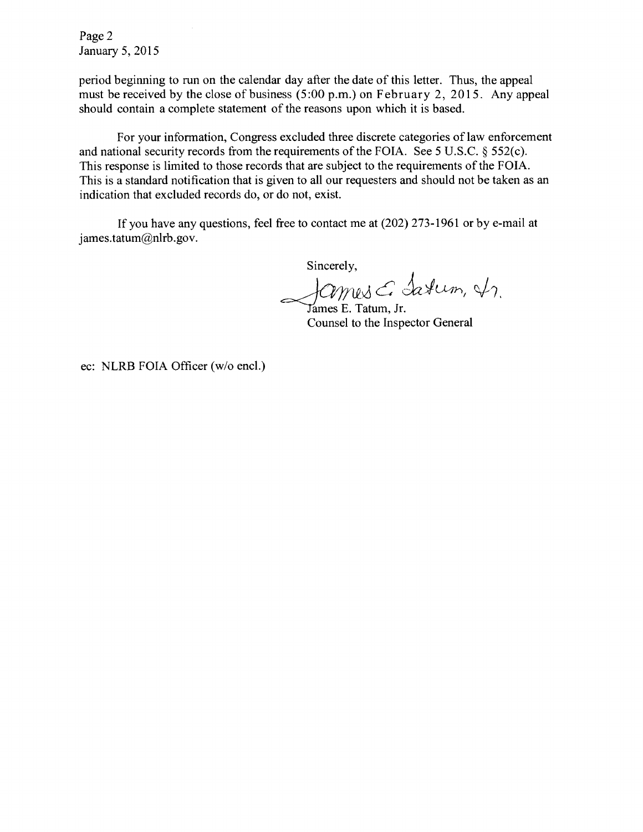Page 2 January 5, 2015

period beginning to run on the calendar day after the date of this letter. Thus, the appeal must be received by the close of business (5:00 p.m.) on February 2, 2015. Any appeal should contain a complete statement of the reasons upon which it is based.

For your information, Congress excluded three discrete categories of law enforcement and national security records from the requirements of the FOIA. See 5 U.S.C. § 552(c). This response is limited to those records that are subject to the requirements of the FOIA. This is a standard notification that is given to all our requesters and should not be taken as an indication that excluded records do, or do not, exist.

If you have any questions, feel free to contact me at (202) 273-1961 or by e-mail at james.tatum@nlrb.gov.

Sincerely,

James E. Tatum, Jr.

Counsel to the Inspector General

ec: NLRB FOIA Officer (w/o encl.)